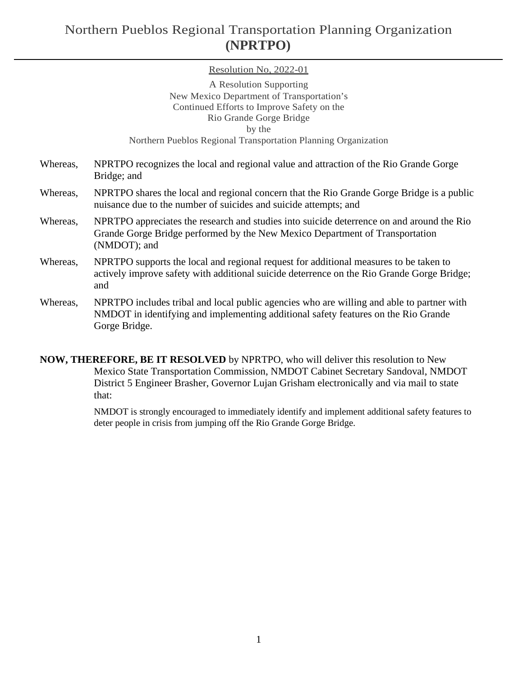## Northern Pueblos Regional Transportation Planning Organization **(NPRTPO)**

## Resolution No, 2022-01

|          | A Resolution Supporting                                                                                                                                                                    |
|----------|--------------------------------------------------------------------------------------------------------------------------------------------------------------------------------------------|
|          | New Mexico Department of Transportation's                                                                                                                                                  |
|          | Continued Efforts to Improve Safety on the                                                                                                                                                 |
|          | Rio Grande Gorge Bridge                                                                                                                                                                    |
|          | by the                                                                                                                                                                                     |
|          | Northern Pueblos Regional Transportation Planning Organization                                                                                                                             |
| Whereas, | NPRTPO recognizes the local and regional value and attraction of the Rio Grande Gorge<br>Bridge; and                                                                                       |
| Whereas, | NPRTPO shares the local and regional concern that the Rio Grande Gorge Bridge is a public<br>nuisance due to the number of suicides and suicide attempts; and                              |
| Whereas, | NPRTPO appreciates the research and studies into suicide deterrence on and around the Rio<br>Grande Gorge Bridge performed by the New Mexico Department of Transportation<br>(NMDOT); and  |
| Whereas, | NPRTPO supports the local and regional request for additional measures to be taken to<br>actively improve safety with additional suicide deterrence on the Rio Grande Gorge Bridge;<br>and |

Whereas, NPRTPO includes tribal and local public agencies who are willing and able to partner with NMDOT in identifying and implementing additional safety features on the Rio Grande Gorge Bridge.

**NOW, THEREFORE, BE IT RESOLVED** by NPRTPO, who will deliver this resolution to New Mexico State Transportation Commission, NMDOT Cabinet Secretary Sandoval, NMDOT District 5 Engineer Brasher, Governor Lujan Grisham electronically and via mail to state that:

> NMDOT is strongly encouraged to immediately identify and implement additional safety features to deter people in crisis from jumping off the Rio Grande Gorge Bridge.